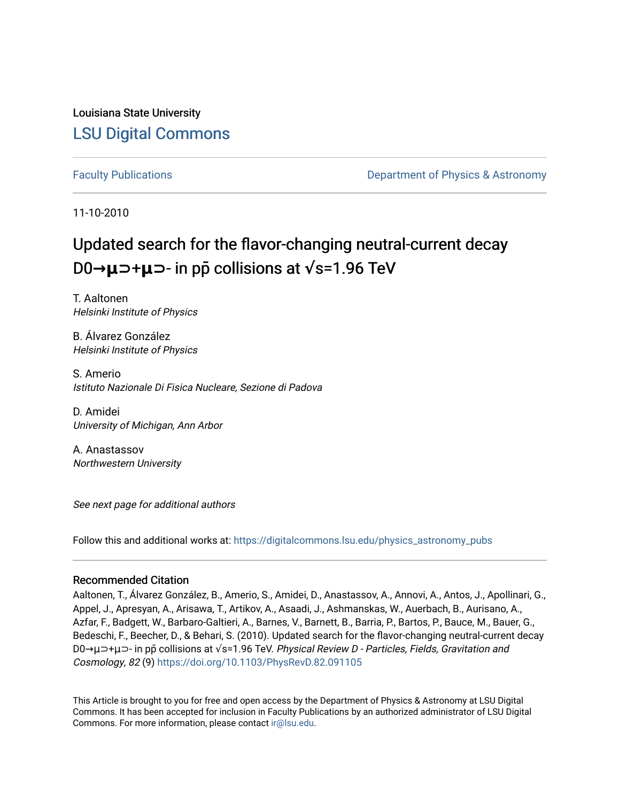Louisiana State University [LSU Digital Commons](https://digitalcommons.lsu.edu/)

[Faculty Publications](https://digitalcommons.lsu.edu/physics_astronomy_pubs) **Example 2** Constant Department of Physics & Astronomy

11-10-2010

# Updated search for the flavor-changing neutral-current decay **D0→μ⊃+μ⊃**- in pp collisions at  $\sqrt{s}$ =1.96 TeV

T. Aaltonen Helsinki Institute of Physics

B. Álvarez González Helsinki Institute of Physics

S. Amerio Istituto Nazionale Di Fisica Nucleare, Sezione di Padova

D. Amidei University of Michigan, Ann Arbor

A. Anastassov Northwestern University

See next page for additional authors

Follow this and additional works at: [https://digitalcommons.lsu.edu/physics\\_astronomy\\_pubs](https://digitalcommons.lsu.edu/physics_astronomy_pubs?utm_source=digitalcommons.lsu.edu%2Fphysics_astronomy_pubs%2F2385&utm_medium=PDF&utm_campaign=PDFCoverPages) 

### Recommended Citation

Aaltonen, T., Álvarez González, B., Amerio, S., Amidei, D., Anastassov, A., Annovi, A., Antos, J., Apollinari, G., Appel, J., Apresyan, A., Arisawa, T., Artikov, A., Asaadi, J., Ashmanskas, W., Auerbach, B., Aurisano, A., Azfar, F., Badgett, W., Barbaro-Galtieri, A., Barnes, V., Barnett, B., Barria, P., Bartos, P., Bauce, M., Bauer, G., Bedeschi, F., Beecher, D., & Behari, S. (2010). Updated search for the flavor-changing neutral-current decay D0→μ⊃+μ⊃- in pp̄ collisions at √s=1.96 TeV. Physical Review D - Particles, Fields, Gravitation and Cosmology, 82 (9)<https://doi.org/10.1103/PhysRevD.82.091105>

This Article is brought to you for free and open access by the Department of Physics & Astronomy at LSU Digital Commons. It has been accepted for inclusion in Faculty Publications by an authorized administrator of LSU Digital Commons. For more information, please contact [ir@lsu.edu](mailto:ir@lsu.edu).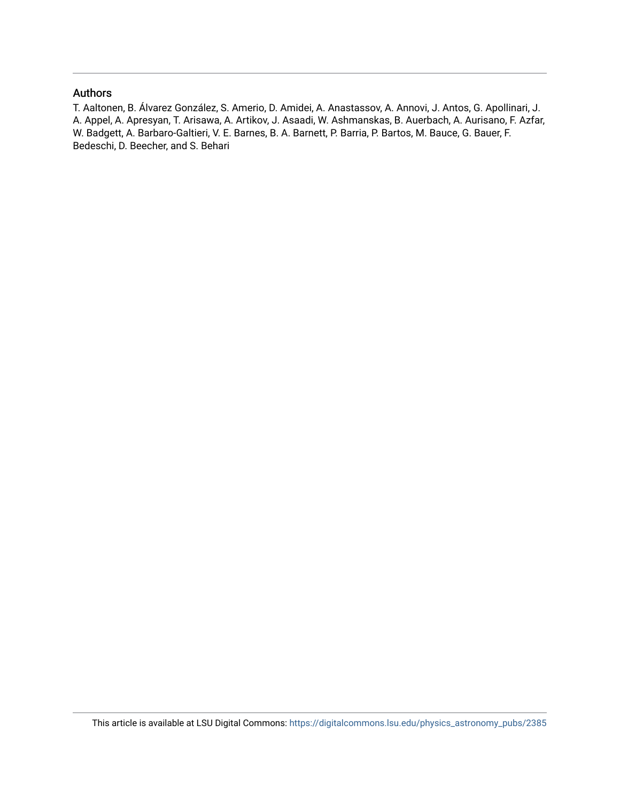### Authors

T. Aaltonen, B. Álvarez González, S. Amerio, D. Amidei, A. Anastassov, A. Annovi, J. Antos, G. Apollinari, J. A. Appel, A. Apresyan, T. Arisawa, A. Artikov, J. Asaadi, W. Ashmanskas, B. Auerbach, A. Aurisano, F. Azfar, W. Badgett, A. Barbaro-Galtieri, V. E. Barnes, B. A. Barnett, P. Barria, P. Bartos, M. Bauce, G. Bauer, F. Bedeschi, D. Beecher, and S. Behari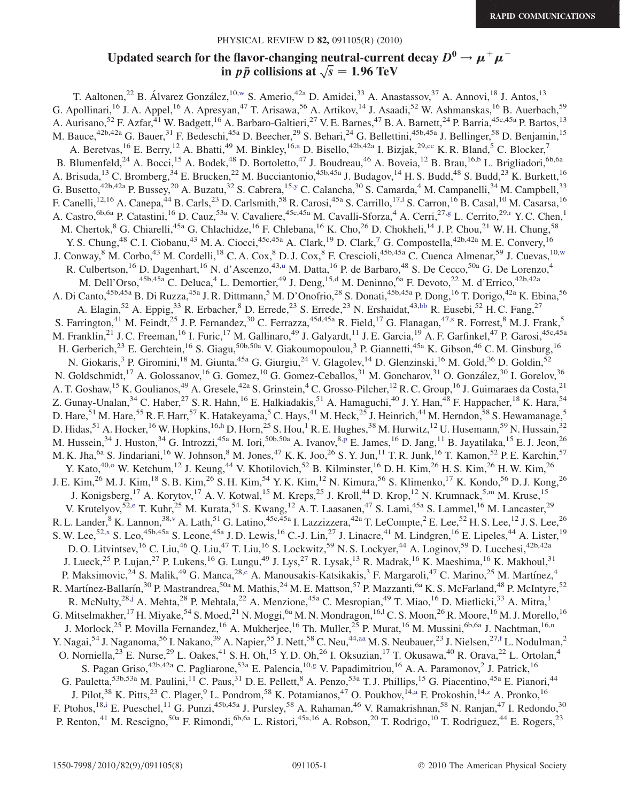## Updated search for the flavor-changing neutral-current decay  $D^0 \to \mu^+ \mu^$ ne flavor-changing neutral-curren<br>in  $p\bar{p}$  collisions at  $\sqrt{s}=1.96\text{ TeV}$

<span id="page-2-23"></span><span id="page-2-22"></span><span id="page-2-21"></span><span id="page-2-20"></span><span id="page-2-19"></span><span id="page-2-18"></span><span id="page-2-17"></span><span id="page-2-16"></span><span id="page-2-15"></span><span id="page-2-14"></span><span id="page-2-13"></span><span id="page-2-12"></span><span id="page-2-11"></span><span id="page-2-10"></span><span id="page-2-9"></span><span id="page-2-8"></span><span id="page-2-7"></span><span id="page-2-6"></span><span id="page-2-5"></span><span id="page-2-4"></span><span id="page-2-3"></span><span id="page-2-2"></span><span id="page-2-1"></span><span id="page-2-0"></span>T. Aaltonen,<sup>22</sup> B. Álvarez González,<sup>10[,w](#page-4-0)</sup> S. Amerio,<sup>42a</sup> D. Amidei,<sup>33</sup> A. Anastassov,<sup>37</sup> A. Annovi,<sup>18</sup> J. Antos,<sup>13</sup> G. Apollinari,<sup>16</sup> J. A. Appel,<sup>16</sup> A. Apresyan,<sup>47</sup> T. Arisawa,<sup>56</sup> A. Artikov,<sup>14</sup> J. Asaadi,<sup>52</sup> W. Ashmanskas,<sup>16</sup> B. Auerbach.<sup>59</sup> A. Aurisano,<sup>52</sup> F. Azfar,<sup>41</sup> W. Badgett,<sup>16</sup> A. Barbaro-Galtieri,<sup>27</sup> V. E. Barnes,<sup>47</sup> B. A. Barnett,<sup>24</sup> P. Barria,<sup>45c,45a</sup> P. Bartos,<sup>13</sup> M. Bauce,<sup>42b,42a</sup> G. Bauer,<sup>31</sup> F. Bedeschi,<sup>45a</sup> D. Beecher,<sup>29</sup> S. Behari,<sup>24</sup> G. Bellettini,<sup>45b,45a</sup> J. Bellinger,<sup>58</sup> D. Benjamin,<sup>15</sup> A. Beretv[a](#page-4-1)s,<sup>16</sup> E. Berry,<sup>12</sup> A. Bhatti,<sup>49</sup> M. Binkley,<sup>16,a</sup> D. Bisello,<sup>42b,42a</sup> I. Bizjak,<sup>29,[cc](#page-4-2)</sup> K. R. Bland,<sup>5</sup> C. Blocker,<sup>7</sup> B. Blumenfeld,<sup>24</sup> A. Bocci,<sup>15</sup> A. Bodek,<sup>48</sup> D. Bortoletto,<sup>47</sup> J. Boudreau,<sup>46</sup> A. Boveia,<sup>12</sup> B. Brau,<sup>16[,b](#page-4-3)</sup> L. Brigliadori,<sup>6b,6a</sup> A. Brisuda,<sup>13</sup> C. Bromberg,<sup>34</sup> E. Brucken,<sup>22</sup> M. Bucciantonio,<sup>45b,45a</sup> J. Budagov,<sup>14</sup> H. S. Budd,<sup>48</sup> S. Budd,<sup>23</sup> K. Burkett,<sup>16</sup> G. Busetto,<sup>42b,42a</sup> P. Bussey,<sup>20</sup> A. Buzatu,<sup>32</sup> S. Cabrera,<sup>15[,y](#page-4-4)</sup> C. Calancha,<sup>30</sup> S. Camarda,<sup>4</sup> M. Campanelli,<sup>34</sup> M. Campbell,<sup>33</sup> F. Canelli, <sup>12,16</sup> A. Canepa, <sup>44</sup> B. Carls, <sup>23</sup> D. Carlsmith, <sup>58</sup> R. Carosi, <sup>45a</sup> S. Carrillo, <sup>17,1</sup> S. Carron, <sup>16</sup> B. Casal, <sup>10</sup> M. Casarsa, <sup>16</sup> A. Castro, <sup>6b,6a</sup> P. Catastini, <sup>16</sup> D. Cauz, <sup>53a</sup> V. Cavaliere, <sup>45c, 45a</sup> M. Cavalli-Sforza, <sup>4</sup> A. Cerri, <sup>27, [g](#page-4-6)</sup> L. Ce[r](#page-4-7)rito, <sup>29,r</sup> Y. C. Chen, <sup>1</sup> M. Chertok,  $8$  G. Chiarelli,  $45a$  G. Chlachidze,  $16$  F. Chlebana,  $16$  K. Cho,  $26$  D. Chokheli,  $14$  J. P. Chou,  $21$  W. H. Chung,  $58$ Y. S. Chung,<sup>48</sup> C. I. Ciobanu,<sup>43</sup> M. A. Ciocci,<sup>45c,45a</sup> A. Clark,<sup>19</sup> D. Clark,<sup>7</sup> G. Compostella,<sup>42b,42a</sup> M. E. Convery,<sup>16</sup> J. Con[w](#page-4-0)ay,<sup>8</sup> M. Corbo,<sup>43</sup> M. Cordelli,<sup>18</sup> C. A. Cox,<sup>8</sup> D. J. Cox,<sup>8</sup> F. Crescioli,<sup>45b,45a</sup> C. Cuenca Almenar,<sup>59</sup> J. Cuevas,<sup>10,w</sup> R. Culbertson,<sup>16</sup> D. Dagenhart,<sup>16</sup> N. d'Ascenzo,<sup>43[,u](#page-4-8)</sup> M. Datta,<sup>16</sup> P. de Barbaro,<sup>48</sup> S. De Cecco,<sup>50a</sup> G. De Lorenzo,<sup>4</sup> M. Dell'Orso,<sup>45b,45a</sup> C. Deluca,<sup>4</sup> L. Demortier,<sup>49</sup> J. Deng,<sup>15,[d](#page-4-9)</sup> M. Deninno,<sup>6a</sup> F. Devoto,<sup>22</sup> M. d'Errico,<sup>42b,42a</sup> A. Di Canto,<sup>45b,45a</sup> B. Di Ruzza,<sup>45a</sup> J. R. Dittmann,<sup>5</sup> M. D'Onofrio,<sup>28</sup> S. Donati,<sup>45b,45a</sup> P. Dong,<sup>16</sup> T. Dorigo,<sup>42a</sup> K. Ebina,<sup>56</sup> A. Elagin,<sup>52</sup> A. Eppig,<sup>33</sup> R. Erbacher,<sup>8</sup> D. Errede,<sup>23</sup> S. Errede,<sup>23</sup> N. Ershaidat,<sup>43[,bb](#page-4-10)</sup> R. Eusebi,<sup>52</sup> H. C. Fang,<sup>27</sup> S. Farrington,<[s](#page-4-11)up>41</sup> M. Feindt,<sup>25</sup> J. P. Fernandez,<sup>30</sup> C. Ferrazza,<sup>45d,45a</sup> R. Field,<sup>17</sup> G. Flanagan,<sup>47,s</sup> R. Forrest,<sup>8</sup> M. J. Frank,<sup>5</sup> M. Franklin,<sup>21</sup> J. C. Freeman,<sup>16</sup> I. Furic,<sup>17</sup> M. Gallinaro,<sup>49</sup> J. Galyardt,<sup>11</sup> J. E. Garcia,<sup>19</sup> A. F. Garfinkel,<sup>47</sup> P. Garosi,<sup>45c,45a</sup> H. Gerberich,<sup>23</sup> E. Gerchtein,<sup>16</sup> S. Giagu,<sup>50b,50a</sup> V. Giakoumopoulou,<sup>3</sup> P. Giannetti,<sup>45a</sup> K. Gibson,<sup>46</sup> C.M. Ginsburg,<sup>16</sup> N. Giokaris,<sup>3</sup> P. Giromini,<sup>18</sup> M. Giunta,<sup>45a</sup> G. Giurgiu,<sup>24</sup> V. Glagolev,<sup>14</sup> D. Glenzinski,<sup>16</sup> M. Gold,<sup>36</sup> D. Goldin,<sup>52</sup> N. Goldschmidt,<sup>17</sup> A. Golossanov,<sup>16</sup> G. Gomez,<sup>10</sup> G. Gomez-Ceballos,<sup>31</sup> M. Goncharov,<sup>31</sup> O. González,<sup>30</sup> I. Gorelov,<sup>36</sup> A. T. Goshaw, <sup>15</sup> K. Goulianos, <sup>49</sup> A. Gresele, <sup>42a</sup> S. Grinstein, <sup>4</sup> C. Grosso-Pilcher, <sup>12</sup> R. C. Group, <sup>16</sup> J. Guimaraes da Costa, <sup>21</sup> Z. Gunay-Unalan,<sup>34</sup> C. Haber,<sup>27</sup> S. R. Hahn,<sup>16</sup> E. Halkiadakis,<sup>51</sup> A. Hamaguchi,<sup>40</sup> J. Y. Han,<sup>48</sup> F. Happacher,<sup>18</sup> K. Hara,<sup>54</sup> D. Hare,<sup>51</sup> M. Hare,<sup>55</sup> R. F. Harr,<sup>57</sup> K. Hatakeyama,<sup>5</sup> C. Hays,<sup>41</sup> M. Heck,<sup>25</sup> J. Heinrich,<sup>44</sup> M. Herndon,<sup>58</sup> S. Hewamanage,<sup>5</sup> D. Hidas, <sup>51</sup> A. Hocker, <sup>16</sup> W. Hopkins, <sup>16,[h](#page-4-12)</sup> D. Horn, <sup>25</sup> S. Hou, <sup>1</sup> R. E. Hughes, <sup>38</sup> M. Hurwitz, <sup>12</sup> U. Husemann, <sup>59</sup> N. Hussain, <sup>32</sup> M. Hussein,<sup>34</sup> J. Huston,<sup>34</sup> G. Introzzi,<sup>45a</sup> M. Iori,<sup>50b,50a</sup> A. Ivanov,<sup>8[,p](#page-4-13)</sup> E. James,<sup>16</sup> D. Jang,<sup>11</sup> B. Jayatilaka,<sup>15</sup> E. J. Jeon,<sup>26</sup> M. K. Jha,<sup>6a</sup> S. Jindariani,<sup>16</sup> W. Johnson,<sup>8</sup> M. Jones,<sup>47</sup> K. K. Joo,<sup>26</sup> S. Y. Jun,<sup>11</sup> T. R. Junk,<sup>16</sup> T. Kamon,<sup>52</sup> P. E. Karchin,<sup>57</sup> Y. Kato,<sup>40[,o](#page-4-14)</sup> W. Ketchum,<sup>12</sup> J. Keung,<sup>44</sup> V. Khotilovich,<sup>52</sup> B. Kilminster,<sup>16</sup> D. H. Kim,<sup>26</sup> H. S. Kim,<sup>26</sup> H. W. Kim,<sup>26</sup> J. E. Kim,<sup>26</sup> M. J. Kim,<sup>18</sup> S. B. Kim,<sup>26</sup> S. H. Kim,<sup>54</sup> Y. K. Kim,<sup>12</sup> N. Kimura,<sup>56</sup> S. Klimenko,<sup>17</sup> K. Kondo,<sup>56</sup> D. J. Kong,<sup>26</sup> J. Konigsberg,<sup>17</sup> A. Korytov,<sup>17</sup> A. V. Kotwal,<sup>15</sup> M. Kreps,<sup>25</sup> J. Kroll,<sup>44</sup> D. Krop,<sup>12</sup> N. Krumnack,<sup>5[,m](#page-4-15)</sup> M. Kruse,<sup>15</sup> V. Krut[e](#page-4-16)lyov,<sup>52,e</sup> T. Kuhr,<sup>25</sup> M. Kurata,<sup>54</sup> S. Kwang,<sup>12</sup> A. T. Laasanen,<sup>47</sup> S. Lami,<sup>45a</sup> S. Lammel,<sup>16</sup> M. Lancaster,<sup>29</sup> R. L. Lander,  $8$  K. Lannon,  $38.$ [v](#page-4-17) A. Lath,  $51$  G. Latino,  $45c,45a$  I. Lazzizzera,  $42a$  T. LeCompte,  $2$  E. Lee,  $52$  H. S. Lee,  $12$  J. S. Lee,  $26$ S. W. Lee,<sup>52,[x](#page-4-18)</sup> S. Leo,<sup>45b,45a</sup> S. Leone,<sup>45a</sup> J. D. Lewis,<sup>16</sup> C.-J. Lin,<sup>27</sup> J. Linacre,<sup>41</sup> M. Lindgren,<sup>16</sup> E. Lipeles,<sup>44</sup> A. Lister,<sup>19</sup> D. O. Litvintsev,<sup>16</sup> C. Liu,<sup>46</sup> Q. Liu,<sup>47</sup> T. Liu,<sup>16</sup> S. Lockwitz,<sup>59</sup> N. S. Lockyer,<sup>44</sup> A. Loginov,<sup>59</sup> D. Lucchesi,<sup>42b,42a</sup> J. Lueck,<sup>25</sup> P. Lujan,<sup>27</sup> P. Lukens,<sup>16</sup> G. Lungu,<sup>49</sup> J. Lys,<sup>27</sup> R. Lysak,<sup>13</sup> R. Madrak,<sup>16</sup> K. Maeshima,<sup>16</sup> K. Makhoul,<sup>31</sup> P. Maksimovic,<sup>24</sup> S. Malik,<sup>49</sup> G. Manca,<sup>28[,c](#page-4-19)</sup> A. Manousakis-Katsikakis,<sup>3</sup> F. Margaroli,<sup>47</sup> C. Marino,<sup>25</sup> M. Martínez,<sup>4</sup> R. Martínez-Ballarín,<sup>30</sup> P. Mastrandrea,<sup>50a</sup> M. Mathis,<sup>24</sup> M. E. Mattson,<sup>57</sup> P. Mazzanti,<sup>6a</sup> K. S. McFarland,<sup>48</sup> P. McIntyre,<sup>52</sup> R. McNulty,<sup>28,[j](#page-4-20)</sup> A. Mehta,<sup>28</sup> P. Mehtala,<sup>22</sup> A. Menzione,<sup>45a</sup> C. Mesropian,<sup>49</sup> T. Miao,<sup>16</sup> D. Mietlicki,<sup>33</sup> A. Mitra,<sup>1</sup> G. Mitse[l](#page-4-5)makher, <sup>17</sup> H. Miyake, <sup>54</sup> S. Moed, <sup>21</sup> N. Moggi, <sup>6a</sup> M. N. Mondragon, <sup>16,1</sup> C. S. Moon, <sup>26</sup> R. Moore, <sup>16</sup> M. J. Morello, <sup>16</sup> J. Morlock,<sup>25</sup> P. Movilla Fer[n](#page-4-21)andez,<sup>16</sup> A. Mukherjee,<sup>16</sup> Th. Muller,<sup>25</sup> P. Murat,<sup>16</sup> M. Mussini,<sup>6b,6a</sup> J. Nachtman,<sup>16,n</sup> Y. Nagai,<sup>54</sup> J. Naganoma,<sup>56</sup> I. Nakano,<sup>39</sup> A. Napier,<sup>55</sup> J. Nett,<sup>58</sup> C. Neu,<sup>44[,aa](#page-4-22)</sup> M. S. Neubauer,<sup>23</sup> J. Nielsen,<sup>27,[f](#page-4-23)</sup> L. Nodulman,<sup>2</sup> O. Norniella,  $^{23}$  E. Nurse,  $^{29}$  L. Oakes,  $^{41}$  S. H. Oh,  $^{15}$  Y. D. Oh,  $^{26}$  I. Oksuzian,  $^{17}$  T. Okusawa,  $^{40}$  R. Orava,  $^{22}$  L. Ortolan,  $^{4}$ S. Pa[g](#page-4-6)an Griso,<sup>42b,42a</sup> C. Pagliarone,<sup>53a</sup> E. Palencia,<sup>10,g</sup> V. Papadimitriou,<sup>16</sup> A. A. Paramonov,<sup>2</sup> J. Patrick,<sup>16</sup> G. Pauletta,  $53b,53a$  M. Paulini, <sup>11</sup> C. Paus, <sup>31</sup> D. E. Pellett, <sup>8</sup> A. Penzo,  $53a$  T. J. Phillips, <sup>15</sup> G. Piacentino,  $45a$  E. Pianori,  $44$ J. Pilot,<sup>38</sup> K. Pitts,<sup>23</sup> C. Pl[a](#page-4-1)ger,<sup>9</sup> L. Pondrom,<sup>58</sup> K. Potamianos,<sup>47</sup> O. Poukhov,<sup>14,a</sup> F. Prokoshin,<sup>14,[z](#page-4-24)</sup> A. Pronko,<sup>16</sup> F. Ptohos,<sup>18[,i](#page-4-25)</sup> E. Pueschel,<sup>11</sup> G. Punzi,<sup>45b,45a</sup> J. Pursley,<sup>58</sup> A. Rahaman,<sup>46</sup> V. Ramakrishnan,<sup>58</sup> N. Ranjan,<sup>47</sup> I. Redondo,<sup>30</sup> P. Renton,<sup>41</sup> M. Rescigno,<sup>50a</sup> F. Rimondi,<sup>6b,6a</sup> L. Ristori,<sup>45a,16</sup> A. Robson,<sup>20</sup> T. Rodrigo,<sup>10</sup> T. Rodriguez,<sup>44</sup> E. Rogers,<sup>23</sup>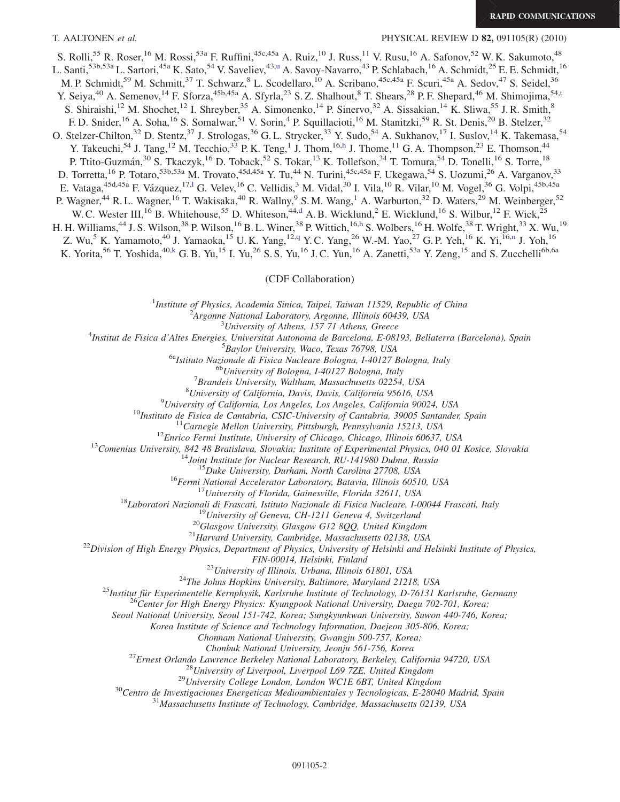T. AALTONEN et al. PHYSICAL REVIEW D 82, 091105(R) (2010)

<span id="page-3-2"></span>S. Rolli,<sup>55</sup> R. Roser,<sup>16</sup> M. Rossi,<sup>53a</sup> F. Ruffini,<sup>45c,45a</sup> A. Ruiz,<sup>10</sup> J. Russ,<sup>11</sup> V. Rusu,<sup>16</sup> A. Safonov,<sup>52</sup> W. K. Sakumoto,<sup>48</sup> L. Santi,<s[u](#page-4-8)p>53b,53a</sup> L. Sartori,<sup>45a</sup> K. Sato,<sup>54</sup> V. Saveliev,<sup>43,u</sup> A. Savoy-Navarro,<sup>43</sup> P. Schlabach,<sup>16</sup> A. Schmidt,<sup>25</sup> E. E. Schmidt,<sup>16</sup> M. P. Schmidt,<sup>59</sup> M. Schmitt,<sup>37</sup> T. Schwarz,<sup>8</sup> L. Scodellaro,<sup>10</sup> A. Scribano,<sup>45c,45a</sup> F. Scuri,<sup>45a</sup> A. Sedov,<sup>47</sup> S. Seidel,<sup>36</sup> Y. Seiya,<sup>40</sup> A. Semenov,<sup>14</sup> F. Sforza,<sup>45b,45a</sup> A. Sfyrla,<sup>23</sup> S.Z. Shalhout,<sup>8</sup> T. Shears,<sup>28</sup> P.F. Shepard,<sup>46</sup> M. Shimojima,<sup>54[,t](#page-4-26)</sup> S. Shiraishi,<sup>12</sup> M. Shochet,<sup>12</sup> I. Shreyber,<sup>35</sup> A. Simonenko,<sup>14</sup> P. Sinervo,<sup>32</sup> A. Sissakian,<sup>14</sup> K. Sliwa,<sup>55</sup> J. R. Smith,<sup>8</sup> F. D. Snider,<sup>16</sup> A. Soha,<sup>16</sup> S. Somalwar,<sup>51</sup> V. Sorin,<sup>4</sup> P. Squillacioti,<sup>16</sup> M. Stanitzki,<sup>59</sup> R. St. Denis,<sup>20</sup> B. Stelzer,<sup>32</sup> O. Stelzer-Chilton,<sup>32</sup> D. Stentz,<sup>37</sup> J. Strologas,<sup>36</sup> G. L. Strycker,<sup>33</sup> Y. Sudo,<sup>54</sup> A. Sukhanov,<sup>17</sup> I. Suslov,<sup>14</sup> K. Takemasa,<sup>54</sup> Y. Takeuc[h](#page-4-12)i,<sup>54</sup> J. Tang,<sup>12</sup> M. Tecchio,<sup>33</sup> P. K. Teng,<sup>1</sup> J. Thom,<sup>16,h</sup> J. Thome,<sup>11</sup> G. A. Thompson,<sup>23</sup> E. Thomson,<sup>44</sup> P. Ttito-Guzmán,<sup>30</sup> S. Tkaczyk,<sup>16</sup> D. Toback,<sup>52</sup> S. Tokar,<sup>13</sup> K. Tollefson,<sup>34</sup> T. Tomura,<sup>54</sup> D. Tonelli,<sup>16</sup> S. Torre,<sup>18</sup> D. Torretta,<sup>16</sup> P. Totaro,<sup>53b,53a</sup> M. Trovato,<sup>45d,45a</sup> Y. Tu,<sup>44</sup> N. Turini,<sup>45c,45a</sup> F. Ukegawa,<sup>54</sup> S. Uozumi,<sup>26</sup> A. Varganov,<sup>33</sup> E. Vataga,<sup>45d,45a</sup> F. Vázquez,<sup>17,1</sup> G. Velev,<sup>16</sup> C. Vellidis,<sup>3</sup> M. Vidal,<sup>30</sup> I. Vila,<sup>10</sup> R. Vilar,<sup>10</sup> M. Vogel,<sup>36</sup> G. Volpi,<sup>45b,45a</sup> P. Wagner,<sup>44</sup> R. L. Wagner,<sup>16</sup> T. Wakisaka,<sup>40</sup> R. Wallny,<sup>9</sup> S. M. Wang,<sup>1</sup> A. Warburton,<sup>32</sup> D. Waters,<sup>29</sup> M. Weinberger,<sup>52</sup> W. C. Wester III,<sup>16</sup> B. Whitehouse,<sup>55</sup> D. Whiteson,<sup>44,[d](#page-4-9)</sup> A. B. Wicklund,<sup>2</sup> E. Wicklund,<sup>16</sup> S. Wilbur,<sup>12</sup> F. Wick,<sup>25</sup> H. H. Williams,<sup>44</sup> J. S. Wilson,<sup>38</sup> P. Wilson,<sup>16</sup> B. L. Winer,<sup>38</sup> P. Wittic[h](#page-4-12),<sup>16,h</sup> S. Wolbers,<sup>16</sup> H. Wolfe,<sup>38</sup> T. Wright,<sup>33</sup> X. Wu,<sup>19</sup> Z. Wu,<sup>5</sup> K. Yamamoto,<sup>40</sup> J. Yamaoka,<sup>15</sup> U.K. Yang,<sup>12,[q](#page-4-27)</sup> Y.C. Yang,<sup>26</sup> W.-M. Yao,<sup>27</sup> G.P. Yeh,<sup>16</sup> K. Yi,<sup>16[,n](#page-4-21)</sup> J. Yoh,<sup>16</sup> K. Yorita,<sup>56</sup> T. Yoshida,<sup>40,[k](#page-4-28)</sup> G. B. Yu,<sup>15</sup> I. Yu,<sup>26</sup> S. S. Yu,<sup>16</sup> J. C. Yun,<sup>16</sup> A. Zanetti,<sup>53a</sup> Y. Zeng,<sup>15</sup> and S. Zucchelli<sup>6b,6a</sup>

#### (CDF Collaboration)

<sup>1</sup>Institute of Physics, Academia Sinica, Taipei, Taiwan 11529, Republic of China<br><sup>2</sup><sup>4</sup> Engange National Laboratory, Argonne, Illinois 60430, USA

 $A$ rgonne National Laboratory, Argonne, Illinois 60439, USA<br> $3$ University of Athens, 157 71 Athens, Greece

<span id="page-3-1"></span><span id="page-3-0"></span><sup>5</sup> University of Athens, 157 71 Athens, Greece  $\frac{3}{4}$  University of Athens, 157 71 Athens, Greece

Institut de Fisica d'Altes Energies, Universitat Autonoma de Barcelona, E-08193, Bellaterra (Barcelona), Spain <sup>5</sup>

 $^{5}$ Baylor University, Waco, Texas 76798, USA<br><sup>6a</sup>Istituto Nazionale di Fisica Nucleare Bologna, I-40127 Bologna, Italy <sup>6b</sup>University of Bologna, I-40127 Bologna, Italy

 ${}^{7}$ Brandeis University, Waltham, Massachusetts 02254, USA

 $^{8}$ University of California, Davis, Davis, California 95616, USA  $^{9}$ University of California, Los Angeles, Los Angeles, California 90024, USA

<sup>2</sup>University of California, Los Angeles, Los Angeles, California 90024, USA<br>
<sup>10</sup>Instituto de Fisica de Cantabria, CSIC-University of Cantabria, 39005 Santander, Spain<br>
<sup>12</sup>Comenius University, Pennsylvania 15213, USA<br>
<sup></sup>

FIN-00014, Helsinki, Finland<br><sup>23</sup>University of Illinois, Urbana, Illinois 61801, USA<br><sup>24</sup>The Johns Hopkins University, Baltimore, Maryland 21218, USA<br><sup>25</sup>Institut für Experimentelle Kernphysik, Karlsruhe Institute of Techn

Seoul National University, Seoul 151-742, Korea; Sungkyunkwan University, Suwon 440-746, Korea;

Korea Institute of Science and Technology Information, Daejeon 305-806, Korea;

Chonnam National University, Gwangju 500-757, Korea;

<sup>27</sup>Ernest Orlando Lawrence Berkeley National Laboratory, Berkeley, California 94720, USA<br><sup>28</sup>University of Liverpool, Liverpool L69 7ZE, United Kingdom<br><sup>29</sup>University College London, London WCIE 6BT, United Kingdom<br><sup>30</sup>C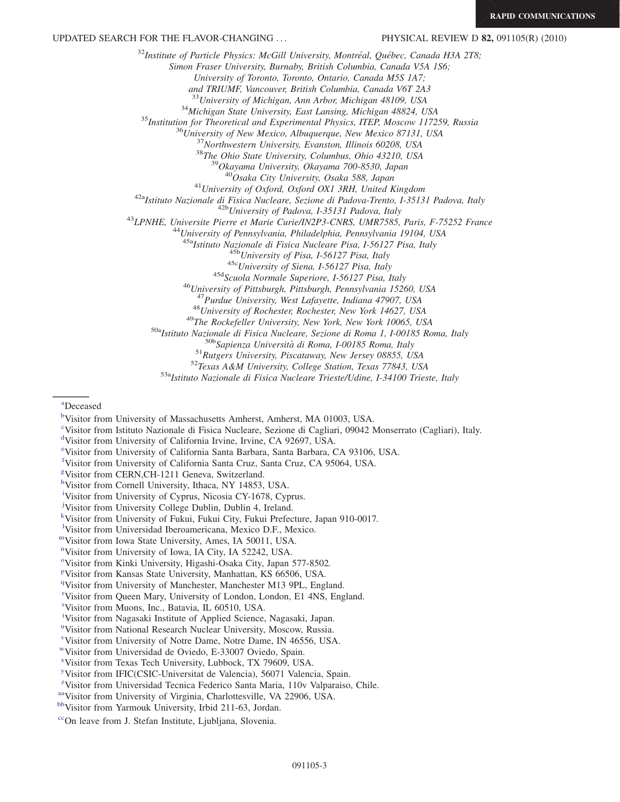UPDATED SEARCH FOR THE FLAVOR-CHANGING ... PHYSICAL REVIEW D 82, 091105(R) (2010)

 $32$ Institute of Particle Physics: McGill University, Montréal, Québec, Canada H3A 2T8;

Simon Fraser University, Burnaby, British Columbia, Canada V5A 1S6;

University of Toronto, Toronto, Ontario, Canada M5S 1A7;

and TRIUMF, Vancouver, British Columbia, Canada V6T 2A3<br><sup>33</sup>University of Michigan, Ann Arbor, Michigan 48109, USA

<sup>34</sup>Michigan State University, East Lansing, Michigan 48824, USA<br><sup>35</sup>Institution for Theoretical and Experimental Physics, ITEP, Moscow 117259, Russia<br><sup>36</sup>University of New Mexico, Albuquerque, New Mexico 87131, USA<br><sup>37</sup>N

<sup>41</sup>University of Oxford, Oxford OX1 3RH, United Kingdom<br><sup>42a</sup>Istituto Nazionale di Fisica Nucleare, Sezione di Padova-Trento, I-35131 Padova, Italy<br><sup>42b</sup>University of Padova, I-35131 Padova, Italy<br><sup>43</sup>LPNHE, Universite P

<sup>45b</sup>University of Pisa, I-56127 Pisa, Italy<br><sup>45c</sup>University of Siena, I-56127 Pisa, Italy<br><sup>45d</sup>Scuola Normale Superiore, I-56127 Pisa, Italy<br><sup>46</sup>University of Pittsburgh, Pittsburgh, Pennsylvania 15260, USA<br><sup>47</sup>Purdue Un

<sup>48</sup>University of Rochester, Rochester, New York 14627, USA<br><sup>49</sup>The Rockefeller University, New York, New York 10065, USA<br><sup>50a</sup>Istituto Nazionale di Fisica Nucleare, Sezione di Roma 1, I-00185 Roma, Italy<br><sup>50b</sup>Sapienza Un

<span id="page-4-1"></span>[a](#page-2-0) Deceased

<span id="page-4-19"></span>[c](#page-2-2) Visitor from Istituto Nazionale di Fisica Nucleare, Sezione di Cagliari, 09042 Monserrato (Cagliari), Italy.

<span id="page-4-16"></span>[e](#page-2-4) Visitor from University of California Santa Barbara, Santa Barbara, CA 93106, USA.

<span id="page-4-23"></span>[f](#page-2-5) Visitor from University of California Santa Cruz, Santa Cruz, CA 95064, USA.

<span id="page-4-6"></span>[g](#page-2-6) Visitor from CERN,CH-1211 Geneva, Switzerland.

<span id="page-4-5"></span>[l](#page-2-10) Visitor from Universidad Iberoamericana, Mexico D.F., Mexico.

- <span id="page-4-15"></span>[mV](#page-2-11)isitor from Iowa State University, Ames, IA 50011, USA.
- <span id="page-4-21"></span>[n](#page-2-12) Visitor from University of Iowa, IA City, IA 52242, USA.

<span id="page-4-14"></span><sup>[o](#page-2-13)</sup>Visitor from Kinki University, Higashi-Osaka City, Japan 577-8502.

- <span id="page-4-13"></span>[p](#page-2-14) Visitor from Kansas State University, Manhattan, KS 66506, USA.
- <span id="page-4-27"></span><sup>[q](#page-3-1)</sup>Visitor from University of Manchester, Manchester M13 9PL, England.

<span id="page-4-7"></span>[r](#page-2-15) Visitor from Queen Mary, University of London, London, E1 4NS, England.

<span id="page-4-11"></span>[s](#page-2-16) Visitor from Muons, Inc., Batavia, IL 60510, USA.

<span id="page-4-26"></span>[t](#page-3-2) Visitor from Nagasaki Institute of Applied Science, Nagasaki, Japan.

<span id="page-4-8"></span><s[u](#page-2-17)p>u</sup>Visitor from National Research Nuclear University, Moscow, Russia.

<span id="page-4-17"></span>[v](#page-2-18) Visitor from University of Notre Dame, Notre Dame, IN 46556, USA.

<span id="page-4-0"></span>[wV](#page-2-19)isitor from Universidad de Oviedo, E-33007 Oviedo, Spain.

<span id="page-4-18"></span>[x](#page-2-20) Visitor from Texas Tech University, Lubbock, TX 79609, USA.

<span id="page-4-4"></span>[y](#page-2-21) Visitor from IFIC(CSIC-Universitat de Valencia), 56071 Valencia, Spain.

- <span id="page-4-24"></span><sup>[z](#page-2-0)</sup>Visitor from Universidad Tecnica Federico Santa Maria, 110v Valparaiso, Chile.
- <span id="page-4-22"></span>[aaV](#page-2-5)isitor from University of Virginia, Charlottesville, VA 22906, USA. [bbV](#page-2-22)isitor from Yarmouk University, Irbid 211-63, Jordan.

<span id="page-4-10"></span>

<span id="page-4-3"></span><sup>&</sup>lt;sup>[b](#page-2-1)</sup>Visitor from University of Massachusetts Amherst, Amherst, MA 01003, USA.

<span id="page-4-9"></span>[d](#page-2-3) Visitor from University of California Irvine, Irvine, CA 92697, USA.

<span id="page-4-12"></span>[h](#page-2-7)Visitor from Cornell University, Ithaca, NY 14853, USA.

<span id="page-4-25"></span>[i](#page-2-8) Visitor from University of Cyprus, Nicosia CY-1678, Cyprus.

<span id="page-4-20"></span>[j](#page-2-9) Visitor from University College Dublin, Dublin 4, Ireland.

<span id="page-4-28"></span>[k](#page-3-0) Visitor from University of Fukui, Fukui City, Fukui Prefecture, Japan 910-0017.

<span id="page-4-2"></span><sup>&</sup>lt;sup>cc</sup>On leave from J. Stefan Institute, Ljubljana, Slovenia.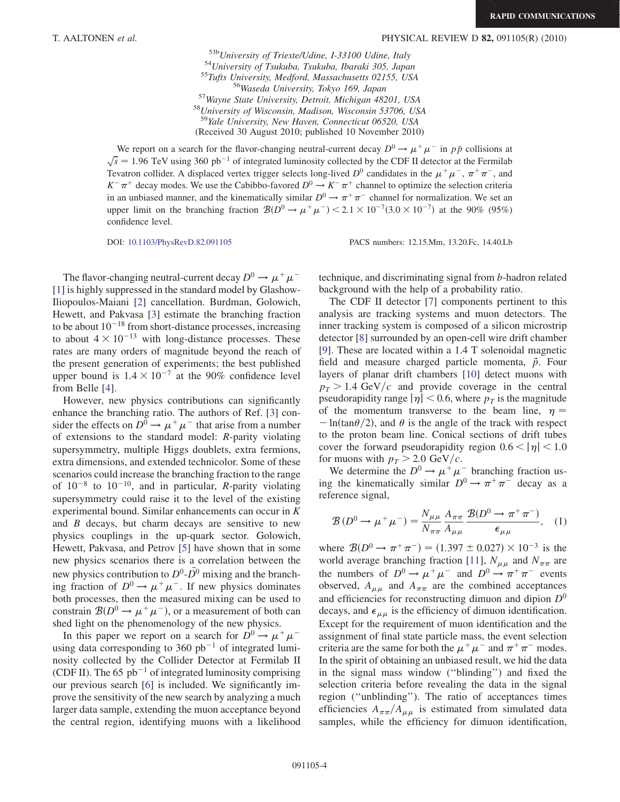$^{53b}$ University of Trieste/Udine, I-33100 Udine, Italy<br>  $^{54}$ University of Tsukuba, Tsukuba, Ibaraki 305, Japan<br>  $^{55}$ Tufts University, Medford, Massachusetts 02155, USA<br>  $^{56}$ Waseda University, Tokyo 169, Japan<br>  $^{5$ <sup>59</sup>Yale University, New Haven, Connecticut 06520, USA (Received 30 August 2010; published 10 November 2010)

We report on a search for the flavor-changing neutral-current decay  $D^0 \to \mu^+ \mu^-$  in  $p\bar{p}$  collisions at  $\sqrt{s}$  = 1.96 TeV using 360 pb<sup>-1</sup> of integrated luminosity collected by the CDF II detector at the Fermilab Tevatron collider. A displaced vertex trigger selects long-lived  $D^0$  candidates in the  $\mu^+\mu^-$ ,  $\pi^+\pi^-$ , and

 $K^-\pi^+$  decay modes. We use the Cabibbo-favored  $D^0 \to K^-\pi^+$  channel to optimize the selection criteria in an unbiased manner, and the kinematically similar  $D^0 \to \pi^+ \pi^-$  channel for normalization. We set an upper limit on the branching fraction  $\mathcal{B}(D^0 \to \mu^+ \mu^-)$  < 2.1 × 10<sup>-7</sup>(3.0 × 10<sup>-7</sup>) at the 90% (95%) confidence level.

DOI: [10.1103/PhysRevD.82.091105](http://dx.doi.org/10.1103/PhysRevD.82.091105) PACS numbers: 12.15.Mm, 13.20.Fc, 14.40.Lb

The flavor-changing neutral-current decay  $D^0 \rightarrow \mu^+ \mu^-$ [\[1\]](#page-9-0) is highly suppressed in the standard model by Glashow-Iliopoulos-Maiani [[2\]](#page-9-1) cancellation. Burdman, Golowich, Hewett, and Pakvasa [\[3\]](#page-9-2) estimate the branching fraction to be about  $10^{-18}$  from short-distance processes, increasing to about  $4 \times 10^{-13}$  with long-distance processes. These rates are many orders of magnitude beyond the reach of the present generation of experiments; the best published upper bound is  $1.4 \times 10^{-7}$  at the 90% confidence level from Belle [\[4](#page-9-3)].

However, new physics contributions can significantly enhance the branching ratio. The authors of Ref. [\[3\]](#page-9-2) consider the effects on  $D^0 \rightarrow \mu^+ \mu^-$  that arise from a number of extensions to the standard model: R-parity violating supersymmetry, multiple Higgs doublets, extra fermions, extra dimensions, and extended technicolor. Some of these scenarios could increase the branching fraction to the range of  $10^{-8}$  to  $10^{-10}$ , and in particular, *R*-parity violating supersymmetry could raise it to the level of the existing experimental bound. Similar enhancements can occur in K and B decays, but charm decays are sensitive to new physics couplings in the up-quark sector. Golowich, Hewett, Pakvasa, and Petrov [[5\]](#page-9-4) have shown that in some new physics scenarios there is a correlation between the new physics contribution to  $D^0$ - $\overline{D}^0$  mixing and the branching fraction of  $D^0 \rightarrow \mu^+ \mu^-$ . If new physics dominates both processes, then the measured mixing can be used to constrain  $\mathcal{B}(D^0 \to \mu^+ \mu^-)$ , or a measurement of both can shed light on the phenomenology of the new physics.

In this paper we report on a search for  $D^0 \rightarrow \mu^+ \mu^$ using data corresponding to 360  $pb^{-1}$  of integrated luminosity collected by the Collider Detector at Fermilab II (CDF II). The 65  $pb^{-1}$  of integrated luminosity comprising our previous search [\[6\]](#page-9-5) is included. We significantly improve the sensitivity of the new search by analyzing a much larger data sample, extending the muon acceptance beyond the central region, identifying muons with a likelihood technique, and discriminating signal from b-hadron related background with the help of a probability ratio.

The CDF II detector [\[7](#page-9-6)] components pertinent to this analysis are tracking systems and muon detectors. The inner tracking system is composed of a silicon microstrip detector [[8](#page-9-7)] surrounded by an open-cell wire drift chamber [\[9\]](#page-9-8). These are located within a 1.4 T solenoidal magnetic field and measure charged particle momenta,  $\vec{p}$ . Four layers of planar drift chambers [\[10\]](#page-9-9) detect muons with  $p_T > 1.4$  GeV/c and provide coverage in the central pseudorapidity range  $|\eta|$  < 0.6, where  $p<sub>T</sub>$  is the magnitude of the momentum transverse to the beam line,  $\eta =$  $-\ln(\tan{\theta/2})$ , and  $\theta$  is the angle of the track with respect to the proton beam line. Conical sections of drift tubes cover the forward pseudorapidity region  $0.6 < |\eta| < 1.0$ for muons with  $p_T > 2.0 \text{ GeV}/c$ .

We determine the  $D^0 \rightarrow \mu^+ \mu^-$  branching fraction using the kinematically similar  $D^0 \rightarrow \pi^+ \pi^-$  decay as a reference signal,

$$
\mathcal{B}\left(D^{0}\to\mu^{+}\mu^{-}\right) = \frac{N_{\mu\mu}}{N_{\pi\pi}}\frac{A_{\pi\pi}}{A_{\mu\mu}}\frac{\mathcal{B}(D^{0}\to\pi^{+}\pi^{-})}{\epsilon_{\mu\mu}},\quad(1)
$$

where  $\mathcal{B}(D^0 \to \pi^+ \pi^-) = (1.397 \pm 0.027) \times 10^{-3}$  is the world average branching fraction [[11](#page-9-10)],  $N_{\mu\mu}$  and  $N_{\pi\pi}$  are the numbers of  $D^0 \to \mu^+ \mu^-$  and  $D^0 \to \pi^+ \pi^-$  events observed,  $A_{\mu\mu}$  and  $A_{\pi\pi}$  are the combined acceptances and efficiencies for reconstructing dimuon and dipion  $D^0$ decays, and  $\epsilon_{\mu\mu}$  is the efficiency of dimuon identification. Except for the requirement of muon identification and the assignment of final state particle mass, the event selection criteria are the same for both the  $\mu^+ \mu^-$  and  $\pi^+ \pi^-$  modes. In the spirit of obtaining an unbiased result, we hid the data in the signal mass window (''blinding'') and fixed the selection criteria before revealing the data in the signal region (''unblinding''). The ratio of acceptances times efficiencies  $A_{\pi\pi}/A_{\mu\mu}$  is estimated from simulated data samples, while the efficiency for dimuon identification,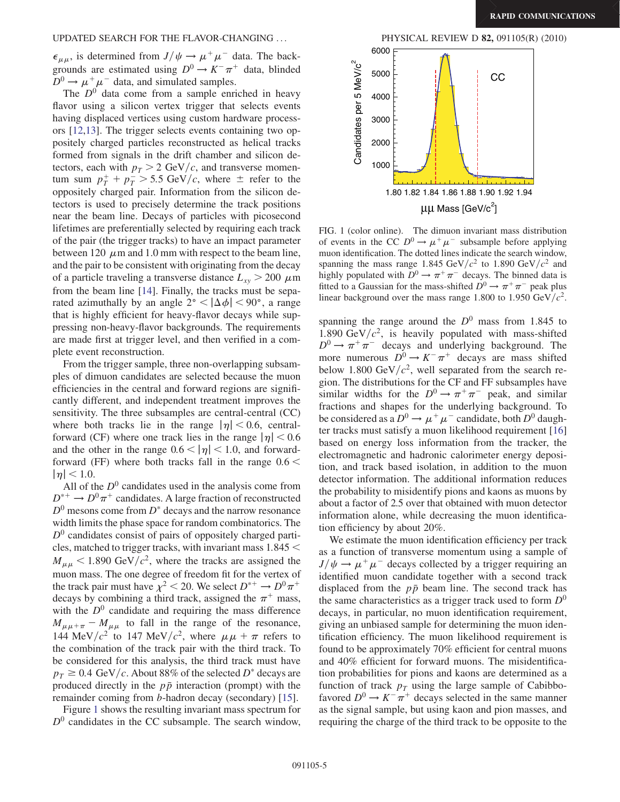$\epsilon_{\mu\mu}$ , is determined from  $J/\psi \rightarrow \mu^+\mu^-$  data. The backgrounds are estimated using  $D^0 \to K^- \pi^+$  data, blinded  $D^0 \rightarrow \mu^+ \mu^-$  data, and simulated samples.

The  $D^0$  data come from a sample enriched in heavy flavor using a silicon vertex trigger that selects events having displaced vertices using custom hardware processors [[12,](#page-9-11)[13\]](#page-9-12). The trigger selects events containing two oppositely charged particles reconstructed as helical tracks formed from signals in the drift chamber and silicon detectors, each with  $p_T > 2$  GeV/c, and transverse momentum sum  $p_T^+ + p_T^- > 5.5$  GeV/c, where  $\pm$  refer to the oppositely charged pair. Information from the silicon detectors is used to precisely determine the track positions near the beam line. Decays of particles with picosecond lifetimes are preferentially selected by requiring each track of the pair (the trigger tracks) to have an impact parameter between 120  $\mu$ m and 1.0 mm with respect to the beam line, and the pair to be consistent with originating from the decay of a particle traveling a transverse distance  $L_{xy}$  > 200  $\mu$ m from the beam line [[14](#page-9-13)]. Finally, the tracks must be separated azimuthally by an angle  $2^{\circ} < |\Delta \phi| < 90^{\circ}$ , a range that is highly efficient for heavy-flavor decays while suppressing non-heavy-flavor backgrounds. The requirements are made first at trigger level, and then verified in a complete event reconstruction.

From the trigger sample, three non-overlapping subsamples of dimuon candidates are selected because the muon efficiencies in the central and forward regions are significantly different, and independent treatment improves the sensitivity. The three subsamples are central-central (CC) where both tracks lie in the range  $|\eta|$  < 0.6, centralforward (CF) where one track lies in the range  $|\eta|$  < 0.6 and the other in the range  $0.6 < |\eta| < 1.0$ , and forwardforward (FF) where both tracks fall in the range  $0.6 <$  $|\eta|$  < 1.0.

All of the  $D^0$  candidates used in the analysis come from  $D^{*+} \to D^0 \pi^+$  candidates. A large fraction of reconstructed  $D^0$  mesons come from  $D^*$  decays and the narrow resonance width limits the phase space for random combinatorics. The  $D<sup>0</sup>$  candidates consist of pairs of oppositely charged particles, matched to trigger tracks, with invariant mass 1:845 <  $M_{\mu\mu}$  < 1.890 GeV/ $c^2$ , where the tracks are assigned the muon mass. The one degree of freedom fit for the vertex of the track pair must have  $\chi^2$  < 20. We select  $D^{*+} \to D^0 \pi^+$ decays by combining a third track, assigned the  $\pi^+$  mass, with the  $D^0$  candidate and requiring the mass difference  $M_{\mu\mu+\pi} - M_{\mu\mu}$  to fall in the range of the resonance, 144 MeV/ $c^2$  to 147 MeV/ $c^2$ , where  $\mu \mu + \pi$  refers to the combination of the track pair with the third track. To be considered for this analysis, the third track must have  $p_T \geq 0.4$  GeV/c. About 88% of the selected D<sup>\*</sup> decays are produced directly in the  $p\bar{p}$  interaction (prompt) with the remainder coming from b-hadron decay (secondary) [[15\]](#page-9-14).

Figure [1](#page-6-0) shows the resulting invariant mass spectrum for  $D<sup>0</sup>$  candidates in the CC subsample. The search window,



<span id="page-6-0"></span>FIG. 1 (color online). The dimuon invariant mass distribution of events in the CC  $D^0 \rightarrow \mu^+ \mu^-$  subsample before applying muon identification. The dotted lines indicate the search window, spanning the mass range 1.845 GeV/ $c^2$  to 1.890 GeV/ $c^2$  and highly populated with  $\overline{D}^0 \rightarrow \pi^+ \pi^-$  decays. The binned data is fitted to a Gaussian for the mass-shifted  $\overline{D}^0 \rightarrow \pi^+ \pi^-$  peak plus linear background over the mass range 1.800 to 1.950  $GeV/c^2$ .

spanning the range around the  $D^0$  mass from 1.845 to 1.890 GeV/ $c^2$ , is heavily populated with mass-shifted  $D^0 \rightarrow \pi^+ \pi^-$  decays and underlying background. The more numerous  $D^0 \rightarrow K^- \pi^+$  decays are mass shifted below 1.800 GeV/ $c^2$ , well separated from the search region. The distributions for the CF and FF subsamples have similar widths for the  $D^0 \rightarrow \pi^+ \pi^-$  peak, and similar fractions and shapes for the underlying background. To be considered as a  $D^0 \rightarrow \mu^+ \mu^-$  candidate, both  $D^0$  daughter tracks must satisfy a muon likelihood requirement [\[16\]](#page-9-15) based on energy loss information from the tracker, the electromagnetic and hadronic calorimeter energy deposition, and track based isolation, in addition to the muon detector information. The additional information reduces the probability to misidentify pions and kaons as muons by about a factor of 2.5 over that obtained with muon detector information alone, while decreasing the muon identification efficiency by about 20%.

We estimate the muon identification efficiency per track as a function of transverse momentum using a sample of  $J/\psi \rightarrow \mu^+ \mu^-$  decays collected by a trigger requiring an identified muon candidate together with a second track displaced from the  $p\bar{p}$  beam line. The second track has the same characteristics as a trigger track used to form  $D^0$ decays, in particular, no muon identification requirement, giving an unbiased sample for determining the muon identification efficiency. The muon likelihood requirement is found to be approximately 70% efficient for central muons and 40% efficient for forward muons. The misidentification probabilities for pions and kaons are determined as a function of track  $p_T$  using the large sample of Cabibbofavored  $D^0 \rightarrow K^- \pi^+$  decays selected in the same manner as the signal sample, but using kaon and pion masses, and requiring the charge of the third track to be opposite to the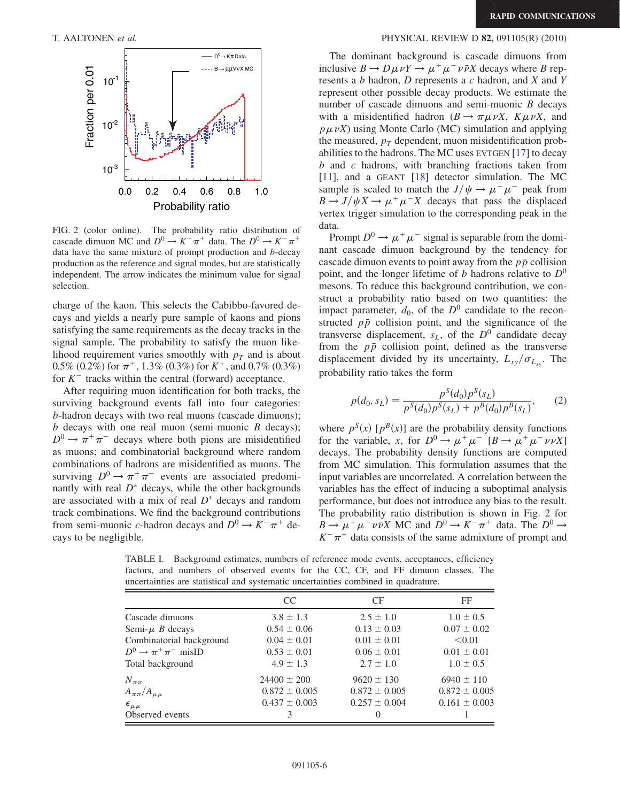

FIG. 2 (color online). The probability ratio distribution of cascade dimuon MC and  $D^0 \rightarrow K^- \pi^+$  data. The  $D^0 \rightarrow K^- \pi^+$ data have the same mixture of prompt production and b-decay production as the reference and signal modes, but are statistically independent. The arrow indicates the minimum value for signal selection.

charge of the kaon. This selects the Cabibbo-favored decays and yields a nearly pure sample of kaons and pions satisfying the same requirements as the decay tracks in the signal sample. The probability to satisfy the muon likelihood requirement varies smoothly with  $p<sub>T</sub>$  and is about 0.5% (0.2%) for  $\pi^{\pm}$ , 1.3% (0.3%) for  $K^+$ , and 0.7% (0.3%) for  $K^-$  tracks within the central (forward) acceptance.

After requiring muon identification for both tracks, the surviving background events fall into four categories: b-hadron decays with two real muons (cascade dimuons);  $b$  decays with one real muon (semi-muonic  $B$  decays);  $D^0 \rightarrow \pi^+ \pi^-$  decays where both pions are misidentified as muons; and combinatorial background where random combinations of hadrons are misidentified as muons. The surviving  $D^0 \to \pi^+ \pi^-$  events are associated predominantly with real  $D^*$  decays, while the other backgrounds are associated with a mix of real  $D^*$  decays and random track combinations. We find the background contributions from semi-muonic c-hadron decays and  $D^0 \to K^- \pi^+$  decays to be negligible.

#### <span id="page-7-0"></span>T. AALTONEN et al. PHYSICAL REVIEW D 82, 091105(R) (2010)

The dominant background is cascade dimuons from inclusive  $B \to D\mu \nu Y \to \mu^+ \mu^- \nu \bar{\nu} X$  decays where B represents a b hadron, D represents a c hadron, and X and Y represent other possible decay products. We estimate the number of cascade dimuons and semi-muonic  $B$  decays with a misidentified hadron  $(B \to \pi \mu \nu X, K \mu \nu X,$  and  $p\mu\nu X$ ) using Monte Carlo (MC) simulation and applying the measured,  $p_T$  dependent, muon misidentification probabilities to the hadrons. The MC uses EVTGEN [\[17\]](#page-9-16) to decay b and c hadrons, with branching fractions taken from [\[11\]](#page-9-10), and a GEANT [[18](#page-9-17)] detector simulation. The MC sample is scaled to match the  $J/\psi \rightarrow \mu^+ \mu^-$  peak from  $B \to J/\psi X \to \mu^+ \mu^- X$  decays that pass the displaced vertex trigger simulation to the corresponding peak in the data.

Prompt  $D^0 \rightarrow \mu^+ \mu^-$  signal is separable from the dominant cascade dimuon background by the tendency for cascade dimuon events to point away from the  $p\bar{p}$  collision point, and the longer lifetime of b hadrons relative to  $D^0$ mesons. To reduce this background contribution, we construct a probability ratio based on two quantities: the impact parameter,  $d_0$ , of the  $D^0$  candidate to the reconstructed  $p\bar{p}$  collision point, and the significance of the transverse displacement,  $s_L$ , of the  $D^0$  candidate decay from the  $p\bar{p}$  collision point, defined as the transverse displacement divided by its uncertainty,  $L_{xy}/\sigma_{L_{xy}}$ . The probability ratio takes the form

$$
p(d_0, s_L) = \frac{p^S(d_0)p^S(s_L)}{p^S(d_0)p^S(s_L) + p^B(d_0)p^B(s_L)},
$$
 (2)

where  $p^{S}(x)$  [ $p^{B}(x)$ ] are the probability density functions for the variable, x, for  $D^0 \rightarrow \mu^+ \mu^- [B \rightarrow \mu^+ \mu^- \nu \nu X]$ decays. The probability density functions are computed from MC simulation. This formulation assumes that the input variables are uncorrelated. A correlation between the variables has the effect of inducing a suboptimal analysis performance, but does not introduce any bias to the result. The probability ratio distribution is shown in Fig. [2](#page-7-0) for  $B \to \mu^+ \mu^- \nu \bar{\nu} X$  MC and  $D^0 \to K^- \pi^+$  data. The  $D^0 \to$  $K^-\pi^+$  data consists of the same admixture of prompt and

<span id="page-7-1"></span>TABLE I. Background estimates, numbers of reference mode events, acceptances, efficiency factors, and numbers of observed events for the CC, CF, and FF dimuon classes. The uncertainties are statistical and systematic uncertainties combined in quadrature.

|                                     | CC.               | <b>CF</b>         | FF                |
|-------------------------------------|-------------------|-------------------|-------------------|
| Cascade dimuons                     | $3.8 \pm 1.3$     | $2.5 \pm 1.0$     | $1.0 \pm 0.5$     |
| Semi- $\mu$ B decays                | $0.54 \pm 0.06$   | $0.13 \pm 0.03$   | $0.07 \pm 0.02$   |
| Combinatorial background            | $0.04 \pm 0.01$   | $0.01 \pm 0.01$   | < 0.01            |
| $D^0 \rightarrow \pi^+ \pi^-$ misID | $0.53 \pm 0.01$   | $0.06 \pm 0.01$   | $0.01 \pm 0.01$   |
| Total background                    | $4.9 \pm 1.3$     | $2.7 \pm 1.0$     | $1.0 \pm 0.5$     |
| $N_{\pi\pi}$                        | $24400 \pm 200$   | $9620 \pm 130$    | $6940 \pm 110$    |
| $A_{\pi\pi}/A_{\mu\mu}$             | $0.872 \pm 0.005$ | $0.872 \pm 0.005$ | $0.872 \pm 0.005$ |
| $\epsilon_{\mu\mu}$                 | $0.437 \pm 0.003$ | $0.257 \pm 0.004$ | $0.161 \pm 0.003$ |
| Observed events                     |                   |                   |                   |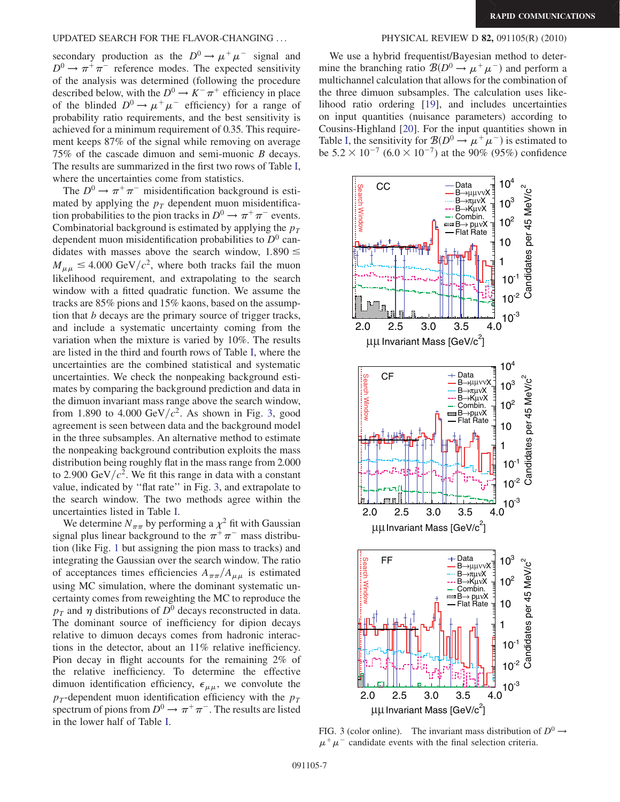#### UPDATED SEARCH FOR THE FLAVOR-CHANGING ... PHYSICAL REVIEW D 82, 091105(R) (2010)

secondary production as the  $D^0 \rightarrow \mu^+ \mu^-$  signal and  $D^0 \rightarrow \pi^+ \pi^-$  reference modes. The expected sensitivity of the analysis was determined (following the procedure described below, with the  $D^0 \to K^- \pi^+$  efficiency in place of the blinded  $D^0 \rightarrow \mu^+ \mu^-$  efficiency) for a range of probability ratio requirements, and the best sensitivity is achieved for a minimum requirement of 0.35. This requirement keeps 87% of the signal while removing on average 75% of the cascade dimuon and semi-muonic B decays. The results are summarized in the first two rows of Table [I](#page-7-1), where the uncertainties come from statistics.

The  $D^0 \rightarrow \pi^+ \pi^-$  misidentification background is estimated by applying the  $p_T$  dependent muon misidentification probabilities to the pion tracks in  $D^0 \to \pi^+ \pi^-$  events. Combinatorial background is estimated by applying the  $p_T$ dependent muon misidentification probabilities to  $D^0$  candidates with masses above the search window,  $1.890 \le$  $M_{\mu\mu} \leq 4.000 \text{ GeV}/c^2$ , where both tracks fail the muon likelihood requirement, and extrapolating to the search window with a fitted quadratic function. We assume the tracks are 85% pions and 15% kaons, based on the assumption that b decays are the primary source of trigger tracks, and include a systematic uncertainty coming from the variation when the mixture is varied by 10%. The results are listed in the third and fourth rows of Table [I,](#page-7-1) where the uncertainties are the combined statistical and systematic uncertainties. We check the nonpeaking background estimates by comparing the background prediction and data in the dimuon invariant mass range above the search window, from 1.890 to 4.000 GeV/ $c^2$ . As shown in Fig. [3](#page-8-0), good agreement is seen between data and the background model in the three subsamples. An alternative method to estimate the nonpeaking background contribution exploits the mass distribution being roughly flat in the mass range from 2.000 to 2.900 GeV/ $c^2$ . We fit this range in data with a constant value, indicated by ''flat rate'' in Fig. [3](#page-8-0), and extrapolate to the search window. The two methods agree within the uncertainties listed in Table [I](#page-7-1).

We determine  $N_{\pi\pi}$  by performing a  $\chi^2$  fit with Gaussian signal plus linear background to the  $\pi^+\pi^-$  mass distribution (like Fig. [1](#page-6-0) but assigning the pion mass to tracks) and integrating the Gaussian over the search window. The ratio of acceptances times efficiencies  $A_{\pi\pi}/A_{\mu\mu}$  is estimated using MC simulation, where the dominant systematic uncertainty comes from reweighting the MC to reproduce the  $p_T$  and  $\eta$  distributions of  $D^0$  decays reconstructed in data. The dominant source of inefficiency for dipion decays relative to dimuon decays comes from hadronic interactions in the detector, about an 11% relative inefficiency. Pion decay in flight accounts for the remaining 2% of the relative inefficiency. To determine the effective dimuon identification efficiency,  $\epsilon_{\mu\mu}$ , we convolute the  $p_T$ -dependent muon identification efficiency with the  $p_T$ spectrum of pions from  $D^0 \to \pi^+ \pi^-$ . The results are listed in the lower half of Table [I.](#page-7-1)

We use a hybrid frequentist/Bayesian method to determine the branching ratio  $\mathcal{B}(D^0 \to \mu^+ \mu^-)$  and perform a multichannel calculation that allows for the combination of the three dimuon subsamples. The calculation uses likelihood ratio ordering [[19](#page-9-18)], and includes uncertainties on input quantities (nuisance parameters) according to Cousins-Highland [\[20](#page-9-19)]. For the input quantities shown in Table [I](#page-7-1), the sensitivity for  $\mathcal{B}(D^0 \to \mu^+ \mu^-)$  is estimated to be  $5.2 \times 10^{-7}$   $(6.0 \times 10^{-7})$  at the 90% (95%) confidence

<span id="page-8-0"></span>

FIG. 3 (color online). The invariant mass distribution of  $D^0 \rightarrow$  $\mu^+ \mu^-$  candidate events with the final selection criteria.